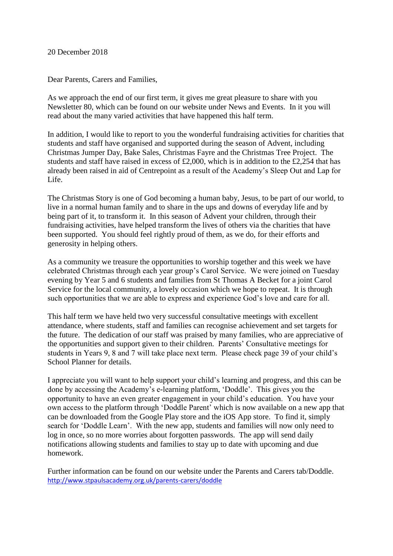20 December 2018

Dear Parents, Carers and Families,

As we approach the end of our first term, it gives me great pleasure to share with you Newsletter 80, which can be found on our website under News and Events. In it you will read about the many varied activities that have happened this half term.

In addition, I would like to report to you the wonderful fundraising activities for charities that students and staff have organised and supported during the season of Advent, including Christmas Jumper Day, Bake Sales, Christmas Fayre and the Christmas Tree Project. The students and staff have raised in excess of £2,000, which is in addition to the £2,254 that has already been raised in aid of Centrepoint as a result of the Academy's Sleep Out and Lap for Life.

The Christmas Story is one of God becoming a human baby, Jesus, to be part of our world, to live in a normal human family and to share in the ups and downs of everyday life and by being part of it, to transform it. In this season of Advent your children, through their fundraising activities, have helped transform the lives of others via the charities that have been supported. You should feel rightly proud of them, as we do, for their efforts and generosity in helping others.

As a community we treasure the opportunities to worship together and this week we have celebrated Christmas through each year group's Carol Service. We were joined on Tuesday evening by Year 5 and 6 students and families from St Thomas A Becket for a joint Carol Service for the local community, a lovely occasion which we hope to repeat. It is through such opportunities that we are able to express and experience God's love and care for all.

This half term we have held two very successful consultative meetings with excellent attendance, where students, staff and families can recognise achievement and set targets for the future. The dedication of our staff was praised by many families, who are appreciative of the opportunities and support given to their children. Parents' Consultative meetings for students in Years 9, 8 and 7 will take place next term. Please check page 39 of your child's School Planner for details.

I appreciate you will want to help support your child's learning and progress, and this can be done by accessing the Academy's e-learning platform, 'Doddle'. This gives you the opportunity to have an even greater engagement in your child's education. You have your own access to the platform through 'Doddle Parent' which is now available on a new app that can be downloaded from the Google Play store and the iOS App store. To find it, simply search for 'Doddle Learn'. With the new app, students and families will now only need to log in once, so no more worries about forgotten passwords. The app will send daily notifications allowing students and families to stay up to date with upcoming and due homework.

Further information can be found on our website under the Parents and Carers tab/Doddle. <http://www.stpaulsacademy.org.uk/parents-carers/doddle>